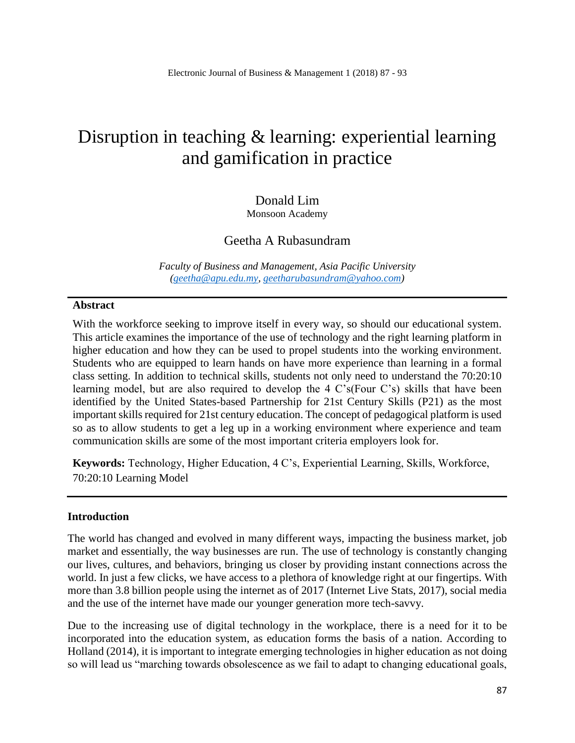# Disruption in teaching & learning: experiential learning and gamification in practice

# Donald Lim

Monsoon Academy

# Geetha A Rubasundram

*Faculty of Business and Management, Asia Pacific University [\(geetha@apu.edu.my,](mailto:geetha@apu.edu.my) [geetharubasundram@yahoo.com\)](mailto:geetharubasundram@yahoo.com)*

## **Abstract**

With the workforce seeking to improve itself in every way, so should our educational system. This article examines the importance of the use of technology and the right learning platform in higher education and how they can be used to propel students into the working environment. Students who are equipped to learn hands on have more experience than learning in a formal class setting. In addition to technical skills, students not only need to understand the 70:20:10 learning model, but are also required to develop the 4 C's(Four C's) skills that have been identified by the United States-based Partnership for 21st Century Skills (P21) as the most important skills required for 21st century education. The concept of pedagogical platform is used so as to allow students to get a leg up in a working environment where experience and team communication skills are some of the most important criteria employers look for.

**Keywords:** Technology, Higher Education, 4 C's, Experiential Learning, Skills, Workforce, 70:20:10 Learning Model

## **Introduction**

The world has changed and evolved in many different ways, impacting the business market, job market and essentially, the way businesses are run. The use of technology is constantly changing our lives, cultures, and behaviors, bringing us closer by providing instant connections across the world. In just a few clicks, we have access to a plethora of knowledge right at our fingertips. With more than 3.8 billion people using the internet as of 2017 (Internet Live Stats, 2017), social media and the use of the internet have made our younger generation more tech-savvy.

Due to the increasing use of digital technology in the workplace, there is a need for it to be incorporated into the education system, as education forms the basis of a nation. According to Holland (2014), it is important to integrate emerging technologies in higher education as not doing so will lead us "marching towards obsolescence as we fail to adapt to changing educational goals,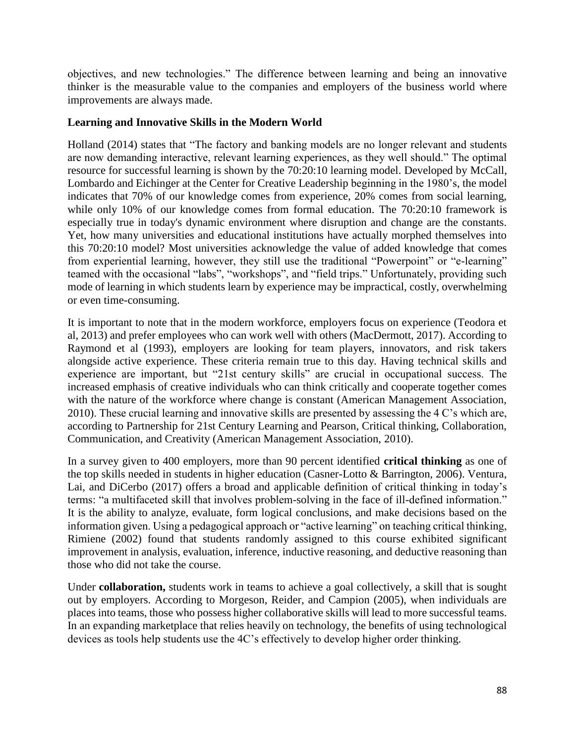objectives, and new technologies." The difference between learning and being an innovative thinker is the measurable value to the companies and employers of the business world where improvements are always made.

# **Learning and Innovative Skills in the Modern World**

Holland (2014) states that "The factory and banking models are no longer relevant and students are now demanding interactive, relevant learning experiences, as they well should." The optimal resource for successful learning is shown by the 70:20:10 learning model. Developed by McCall, Lombardo and Eichinger at the Center for Creative Leadership beginning in the 1980's, the model indicates that 70% of our knowledge comes from experience, 20% comes from social learning, while only 10% of our knowledge comes from formal education. The 70:20:10 framework is especially true in today's dynamic environment where disruption and change are the constants. Yet, how many universities and educational institutions have actually morphed themselves into this 70:20:10 model? Most universities acknowledge the value of added knowledge that comes from experiential learning, however, they still use the traditional "Powerpoint" or "e-learning" teamed with the occasional "labs", "workshops", and "field trips." Unfortunately, providing such mode of learning in which students learn by experience may be impractical, costly, overwhelming or even time-consuming.

It is important to note that in the modern workforce, employers focus on experience (Teodora et al, 2013) and prefer employees who can work well with others (MacDermott, 2017). According to Raymond et al (1993), employers are looking for team players, innovators, and risk takers alongside active experience. These criteria remain true to this day. Having technical skills and experience are important, but "21st century skills" are crucial in occupational success. The increased emphasis of creative individuals who can think critically and cooperate together comes with the nature of the workforce where change is constant (American Management Association, 2010). These crucial learning and innovative skills are presented by assessing the 4 C's which are, according to Partnership for 21st Century Learning and Pearson, Critical thinking, Collaboration, Communication, and Creativity (American Management Association, 2010).

In a survey given to 400 employers, more than 90 percent identified **critical thinking** as one of the top skills needed in students in higher education (Casner-Lotto & Barrington, 2006). Ventura, Lai, and DiCerbo (2017) offers a broad and applicable definition of critical thinking in today's terms: "a multifaceted skill that involves problem-solving in the face of ill-defined information." It is the ability to analyze, evaluate, form logical conclusions, and make decisions based on the information given. Using a pedagogical approach or "active learning" on teaching critical thinking, Rimiene (2002) found that students randomly assigned to this course exhibited significant improvement in analysis, evaluation, inference, inductive reasoning, and deductive reasoning than those who did not take the course.

Under **collaboration,** students work in teams to achieve a goal collectively, a skill that is sought out by employers. According to Morgeson, Reider, and Campion (2005), when individuals are places into teams, those who possess higher collaborative skills will lead to more successful teams. In an expanding marketplace that relies heavily on technology, the benefits of using technological devices as tools help students use the 4C's effectively to develop higher order thinking.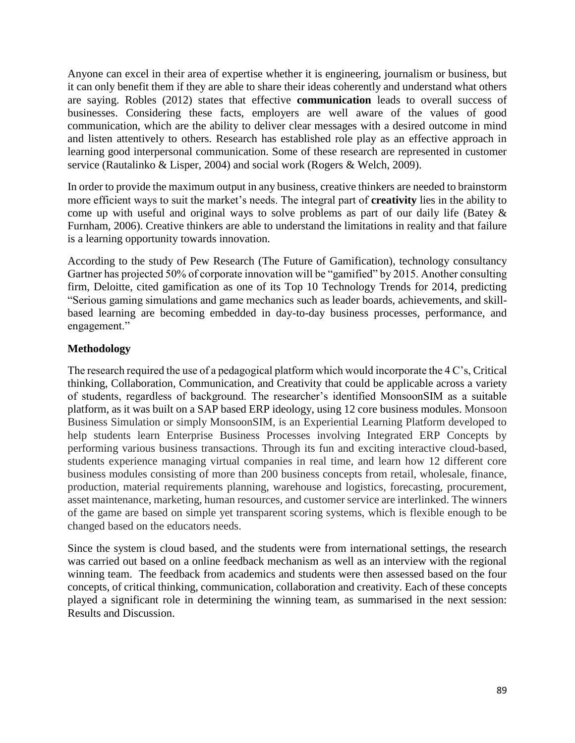Anyone can excel in their area of expertise whether it is engineering, journalism or business, but it can only benefit them if they are able to share their ideas coherently and understand what others are saying. Robles (2012) states that effective **communication** leads to overall success of businesses. Considering these facts, employers are well aware of the values of good communication, which are the ability to deliver clear messages with a desired outcome in mind and listen attentively to others. Research has established role play as an effective approach in learning good interpersonal communication. Some of these research are represented in customer service (Rautalinko & Lisper, 2004) and social work (Rogers & Welch, 2009).

In order to provide the maximum output in any business, creative thinkers are needed to brainstorm more efficient ways to suit the market's needs. The integral part of **creativity** lies in the ability to come up with useful and original ways to solve problems as part of our daily life (Batey & Furnham, 2006). Creative thinkers are able to understand the limitations in reality and that failure is a learning opportunity towards innovation.

According to the study of Pew Research (The Future of Gamification), technology consultancy Gartner has projected 50% of corporate innovation will be "gamified" by 2015. Another consulting firm, Deloitte, cited gamification as one of its Top 10 Technology Trends for 2014, predicting "Serious gaming simulations and game mechanics such as leader boards, achievements, and skillbased learning are becoming embedded in day-to-day business processes, performance, and engagement."

# **Methodology**

The research required the use of a pedagogical platform which would incorporate the 4 C's, Critical thinking, Collaboration, Communication, and Creativity that could be applicable across a variety of students, regardless of background. The researcher's identified MonsoonSIM as a suitable platform, as it was built on a SAP based ERP ideology, using 12 core business modules. Monsoon Business Simulation or simply MonsoonSIM, is an Experiential Learning Platform developed to help students learn Enterprise Business Processes involving Integrated ERP Concepts by performing various business transactions. Through its fun and exciting interactive cloud-based, students experience managing virtual companies in real time, and learn how 12 different core business modules consisting of more than 200 business concepts from retail, wholesale, finance, production, material requirements planning, warehouse and logistics, forecasting, procurement, asset maintenance, marketing, human resources, and customer service are interlinked. The winners of the game are based on simple yet transparent scoring systems, which is flexible enough to be changed based on the educators needs.

Since the system is cloud based, and the students were from international settings, the research was carried out based on a online feedback mechanism as well as an interview with the regional winning team. The feedback from academics and students were then assessed based on the four concepts, of critical thinking, communication, collaboration and creativity. Each of these concepts played a significant role in determining the winning team, as summarised in the next session: Results and Discussion.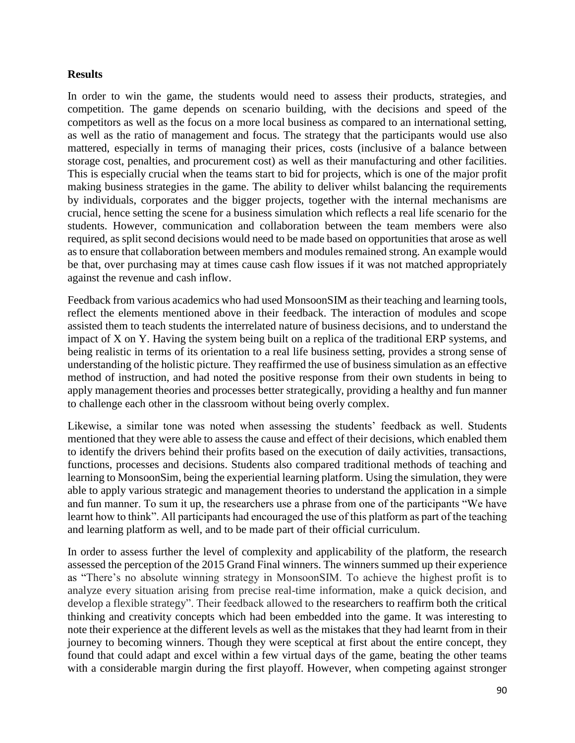## **Results**

In order to win the game, the students would need to assess their products, strategies, and competition. The game depends on scenario building, with the decisions and speed of the competitors as well as the focus on a more local business as compared to an international setting, as well as the ratio of management and focus. The strategy that the participants would use also mattered, especially in terms of managing their prices, costs (inclusive of a balance between storage cost, penalties, and procurement cost) as well as their manufacturing and other facilities. This is especially crucial when the teams start to bid for projects, which is one of the major profit making business strategies in the game. The ability to deliver whilst balancing the requirements by individuals, corporates and the bigger projects, together with the internal mechanisms are crucial, hence setting the scene for a business simulation which reflects a real life scenario for the students. However, communication and collaboration between the team members were also required, as split second decisions would need to be made based on opportunities that arose as well as to ensure that collaboration between members and modules remained strong. An example would be that, over purchasing may at times cause cash flow issues if it was not matched appropriately against the revenue and cash inflow.

Feedback from various academics who had used MonsoonSIM as their teaching and learning tools, reflect the elements mentioned above in their feedback. The interaction of modules and scope assisted them to teach students the interrelated nature of business decisions, and to understand the impact of X on Y. Having the system being built on a replica of the traditional ERP systems, and being realistic in terms of its orientation to a real life business setting, provides a strong sense of understanding of the holistic picture. They reaffirmed the use of business simulation as an effective method of instruction, and had noted the positive response from their own students in being to apply management theories and processes better strategically, providing a healthy and fun manner to challenge each other in the classroom without being overly complex.

Likewise, a similar tone was noted when assessing the students' feedback as well. Students mentioned that they were able to assess the cause and effect of their decisions, which enabled them to identify the drivers behind their profits based on the execution of daily activities, transactions, functions, processes and decisions. Students also compared traditional methods of teaching and learning to MonsoonSim, being the experiential learning platform. Using the simulation, they were able to apply various strategic and management theories to understand the application in a simple and fun manner. To sum it up, the researchers use a phrase from one of the participants "We have learnt how to think". All participants had encouraged the use of this platform as part of the teaching and learning platform as well, and to be made part of their official curriculum.

In order to assess further the level of complexity and applicability of the platform, the research assessed the perception of the 2015 Grand Final winners. The winners summed up their experience as "There's no absolute winning strategy in MonsoonSIM. To achieve the highest profit is to analyze every situation arising from precise real-time information, make a quick decision, and develop a flexible strategy". Their feedback allowed to the researchers to reaffirm both the critical thinking and creativity concepts which had been embedded into the game. It was interesting to note their experience at the different levels as well as the mistakes that they had learnt from in their journey to becoming winners. Though they were sceptical at first about the entire concept, they found that could adapt and excel within a few virtual days of the game, beating the other teams with a considerable margin during the first playoff. However, when competing against stronger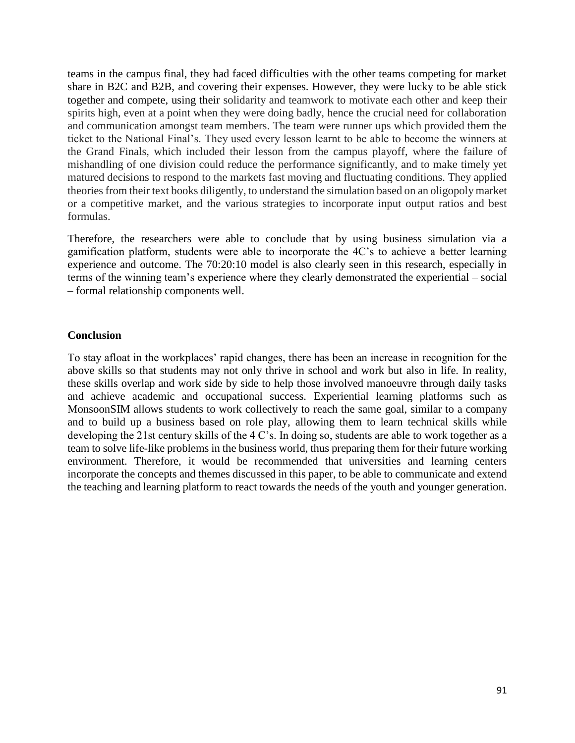teams in the campus final, they had faced difficulties with the other teams competing for market share in B2C and B2B, and covering their expenses. However, they were lucky to be able stick together and compete, using their solidarity and teamwork to motivate each other and keep their spirits high, even at a point when they were doing badly, hence the crucial need for collaboration and communication amongst team members. The team were runner ups which provided them the ticket to the National Final's. They used every lesson learnt to be able to become the winners at the Grand Finals, which included their lesson from the campus playoff, where the failure of mishandling of one division could reduce the performance significantly, and to make timely yet matured decisions to respond to the markets fast moving and fluctuating conditions. They applied theories from their text books diligently, to understand the simulation based on an oligopoly market or a competitive market, and the various strategies to incorporate input output ratios and best formulas.

Therefore, the researchers were able to conclude that by using business simulation via a gamification platform, students were able to incorporate the 4C's to achieve a better learning experience and outcome. The 70:20:10 model is also clearly seen in this research, especially in terms of the winning team's experience where they clearly demonstrated the experiential – social – formal relationship components well.

## **Conclusion**

To stay afloat in the workplaces' rapid changes, there has been an increase in recognition for the above skills so that students may not only thrive in school and work but also in life. In reality, these skills overlap and work side by side to help those involved manoeuvre through daily tasks and achieve academic and occupational success. Experiential learning platforms such as MonsoonSIM allows students to work collectively to reach the same goal, similar to a company and to build up a business based on role play, allowing them to learn technical skills while developing the 21st century skills of the 4 C's. In doing so, students are able to work together as a team to solve life-like problems in the business world, thus preparing them for their future working environment. Therefore, it would be recommended that universities and learning centers incorporate the concepts and themes discussed in this paper, to be able to communicate and extend the teaching and learning platform to react towards the needs of the youth and younger generation.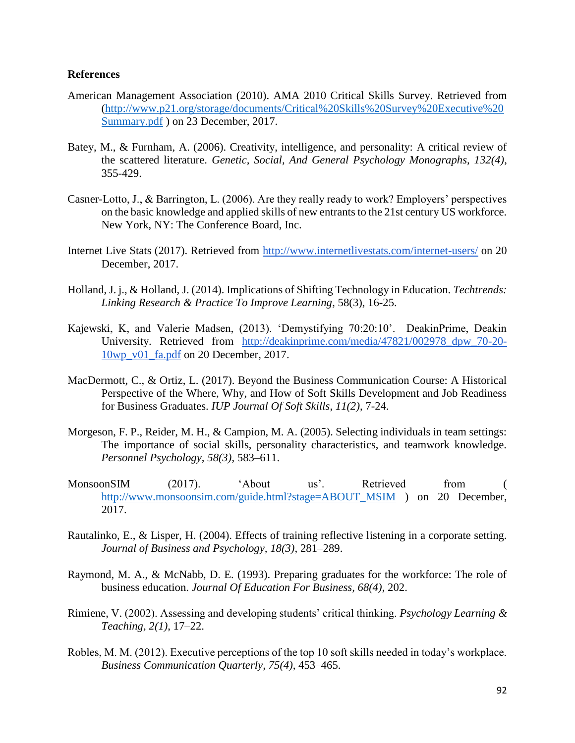#### **References**

- American Management Association (2010). AMA 2010 Critical Skills Survey. Retrieved from [\(http://www.p21.org/storage/documents/Critical%20Skills%20Survey%20Executive%20](http://www.p21.org/storage/documents/Critical%20Skills%20Survey%20Executive%20Summary.pdf) [Summary.pdf](http://www.p21.org/storage/documents/Critical%20Skills%20Survey%20Executive%20Summary.pdf) ) on 23 December, 2017.
- Batey, M., & Furnham, A. (2006). Creativity, intelligence, and personality: A critical review of the scattered literature. *Genetic, Social, And General Psychology Monographs, 132(4)*, 355-429.
- Casner-Lotto, J., & Barrington, L. (2006). Are they really ready to work? Employers' perspectives on the basic knowledge and applied skills of new entrants to the 21st century US workforce. New York, NY: The Conference Board, Inc.
- Internet Live Stats (2017). Retrieved from<http://www.internetlivestats.com/internet-users/> on 20 December, 2017.
- Holland, J. j., & Holland, J. (2014). Implications of Shifting Technology in Education. *Techtrends: Linking Research & Practice To Improve Learning*, 58(3), 16-25.
- Kajewski, K, and Valerie Madsen, (2013). 'Demystifying 70:20:10'. DeakinPrime, Deakin University. Retrieved from [http://deakinprime.com/media/47821/002978\\_dpw\\_70-20-](http://deakinprime.com/media/47821/002978_dpw_70-20-10wp_v01_fa.pdf) [10wp\\_v01\\_fa.pdf](http://deakinprime.com/media/47821/002978_dpw_70-20-10wp_v01_fa.pdf) on 20 December, 2017.
- MacDermott, C., & Ortiz, L. (2017). Beyond the Business Communication Course: A Historical Perspective of the Where, Why, and How of Soft Skills Development and Job Readiness for Business Graduates. *IUP Journal Of Soft Skills*, *11(2)*, 7-24.
- Morgeson, F. P., Reider, M. H., & Campion, M. A. (2005). Selecting individuals in team settings: The importance of social skills, personality characteristics, and teamwork knowledge. *Personnel Psychology, 58(3)*, 583–611.
- MonsoonSIM (2017). 'About us'. Retrieved from ( [http://www.monsoonsim.com/guide.html?stage=ABOUT\\_MSIM](http://www.monsoonsim.com/guide.html?stage=ABOUT_MSIM) ) on 20 December, 2017.
- Rautalinko, E., & Lisper, H. (2004). Effects of training reflective listening in a corporate setting. *Journal of Business and Psychology, 18(3)*, 281–289.
- Raymond, M. A., & McNabb, D. E. (1993). Preparing graduates for the workforce: The role of business education. *Journal Of Education For Business, 68(4)*, 202.
- Rimiene, V. (2002). Assessing and developing students' critical thinking. *Psychology Learning & Teaching, 2(1)*, 17–22.
- Robles, M. M. (2012). Executive perceptions of the top 10 soft skills needed in today's workplace. *Business Communication Quarterly, 75(4)*, 453–465.